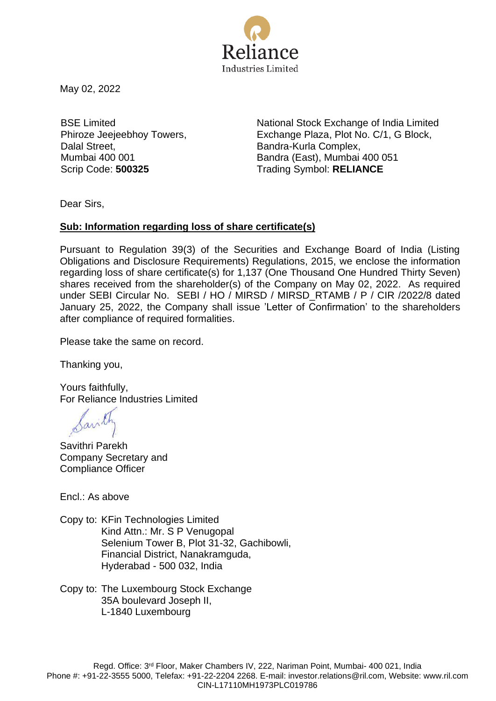

May 02, 2022

BSE Limited Phiroze Jeejeebhoy Towers, Dalal Street, Mumbai 400 001

National Stock Exchange of India Limited Exchange Plaza, Plot No. C/1, G Block, Bandra-Kurla Complex, Bandra (East), Mumbai 400 051 Scrip Code: **500325** Trading Symbol: **RELIANCE** 

Dear Sirs,

## **Sub: Information regarding loss of share certificate(s)**

Pursuant to Regulation 39(3) of the Securities and Exchange Board of India (Listing Obligations and Disclosure Requirements) Regulations, 2015, we enclose the information regarding loss of share certificate(s) for 1,137 (One Thousand One Hundred Thirty Seven) shares received from the shareholder(s) of the Company on May 02, 2022. As required under SEBI Circular No. SEBI / HO / MIRSD / MIRSD\_RTAMB / P / CIR /2022/8 dated January 25, 2022, the Company shall issue 'Letter of Confirmation' to the shareholders after compliance of required formalities.

Please take the same on record.

Thanking you,

Yours faithfully, For Reliance Industries Limited

Savithri Parekh Company Secretary and Compliance Officer

Encl.: As above

Copy to: KFin Technologies Limited Kind Attn.: Mr. S P Venugopal Selenium Tower B, Plot 31-32, Gachibowli, Financial District, Nanakramguda, Hyderabad - 500 032, India

Copy to: The Luxembourg Stock Exchange 35A boulevard Joseph II, L-1840 Luxembourg